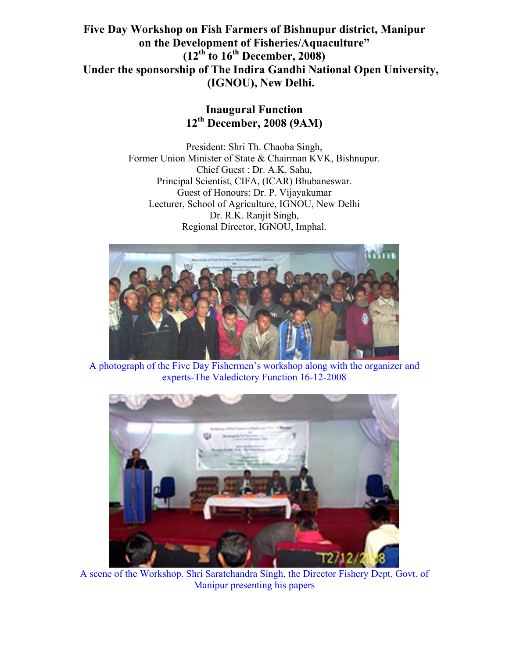**Five Day Workshop on Fish Farmers of Bishnupur district, Manipur on the Development of Fisheries/Aquaculture" (12th to 16th December, 2008) Under the sponsorship of The Indira Gandhi National Open University, (IGNOU), New Delhi.** 

# **Inaugural Function 12th December, 2008 (9AM)**

President: Shri Th. Chaoba Singh, Former Union Minister of State & Chairman KVK, Bishnupur. Chief Guest : Dr. A.K. Sahu, Principal Scientist, CIFA, (ICAR) Bhubaneswar. Guest of Honours: Dr. P. Vijayakumar Lecturer, School of Agriculture, IGNOU, New Delhi Dr. R.K. Ranjit Singh, Regional Director, IGNOU, Imphal.



A photograph of the Five Day Fishermen's workshop along with the organizer and experts-The Valedictory Function 16-12-2008



A scene of the Workshop. Shri Saratchandra Singh, the Director Fishery Dept. Govt. of Manipur presenting his papers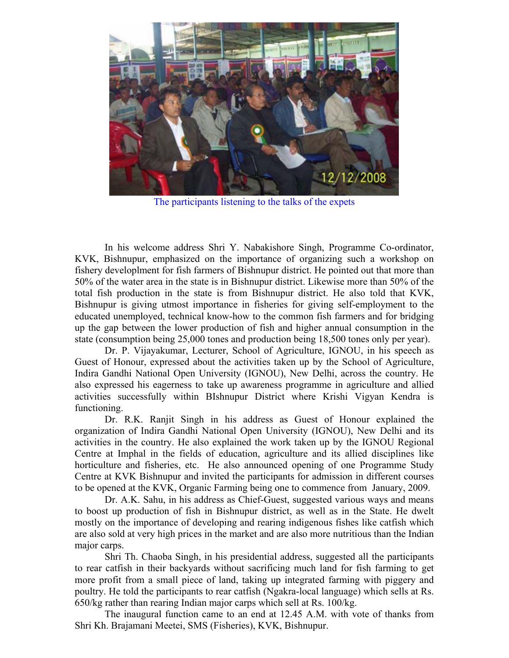

The participants listening to the talks of the expets

 In his welcome address Shri Y. Nabakishore Singh, Programme Co-ordinator, KVK, Bishnupur, emphasized on the importance of organizing such a workshop on fishery developlment for fish farmers of Bishnupur district. He pointed out that more than 50% of the water area in the state is in Bishnupur district. Likewise more than 50% of the total fish production in the state is from Bishnupur district. He also told that KVK, Bishnupur is giving utmost importance in fisheries for giving self-employment to the educated unemployed, technical know-how to the common fish farmers and for bridging up the gap between the lower production of fish and higher annual consumption in the state (consumption being 25,000 tones and production being 18,500 tones only per year).

Dr. P. Vijayakumar, Lecturer, School of Agriculture, IGNOU, in his speech as Guest of Honour, expressed about the activities taken up by the School of Agriculture, Indira Gandhi National Open University (IGNOU), New Delhi, across the country. He also expressed his eagerness to take up awareness programme in agriculture and allied activities successfully within BIshnupur District where Krishi Vigyan Kendra is functioning.

Dr. R.K. Ranjit Singh in his address as Guest of Honour explained the organization of Indira Gandhi National Open University (IGNOU), New Delhi and its activities in the country. He also explained the work taken up by the IGNOU Regional Centre at Imphal in the fields of education, agriculture and its allied disciplines like horticulture and fisheries, etc. He also announced opening of one Programme Study Centre at KVK Bishnupur and invited the participants for admission in different courses to be opened at the KVK, Organic Farming being one to commence from January, 2009.

Dr. A.K. Sahu, in his address as Chief-Guest, suggested various ways and means to boost up production of fish in Bishnupur district, as well as in the State. He dwelt mostly on the importance of developing and rearing indigenous fishes like catfish which are also sold at very high prices in the market and are also more nutritious than the Indian major carps.

Shri Th. Chaoba Singh, in his presidential address, suggested all the participants to rear catfish in their backyards without sacrificing much land for fish farming to get more profit from a small piece of land, taking up integrated farming with piggery and poultry. He told the participants to rear catfish (Ngakra-local language) which sells at Rs. 650/kg rather than rearing Indian major carps which sell at Rs. 100/kg.

The inaugural function came to an end at 12.45 A.M. with vote of thanks from Shri Kh. Brajamani Meetei, SMS (Fisheries), KVK, Bishnupur.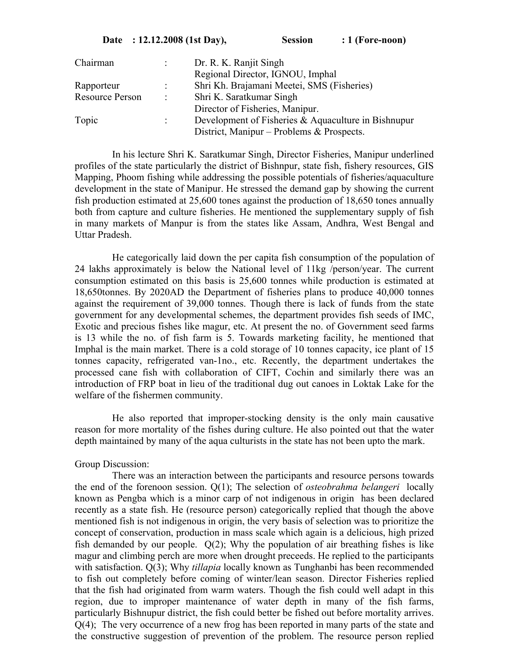In his lecture Shri K. Saratkumar Singh, Director Fisheries, Manipur underlined profiles of the state particularly the district of Bishnpur, state fish, fishery resources, GIS Mapping, Phoom fishing while addressing the possible potentials of fisheries/aquaculture development in the state of Manipur. He stressed the demand gap by showing the current fish production estimated at 25,600 tones against the production of 18,650 tones annually both from capture and culture fisheries. He mentioned the supplementary supply of fish in many markets of Manpur is from the states like Assam, Andhra, West Bengal and Uttar Pradesh.

 He categorically laid down the per capita fish consumption of the population of 24 lakhs approximately is below the National level of 11kg /person/year. The current consumption estimated on this basis is 25,600 tonnes while production is estimated at 18,650tonnes. By 2020AD the Department of fisheries plans to produce 40,000 tonnes against the requirement of 39,000 tonnes. Though there is lack of funds from the state government for any developmental schemes, the department provides fish seeds of IMC, Exotic and precious fishes like magur, etc. At present the no. of Government seed farms is 13 while the no. of fish farm is 5. Towards marketing facility, he mentioned that Imphal is the main market. There is a cold storage of 10 tonnes capacity, ice plant of 15 tonnes capacity, refrigerated van-1no., etc. Recently, the department undertakes the processed cane fish with collaboration of CIFT, Cochin and similarly there was an introduction of FRP boat in lieu of the traditional dug out canoes in Loktak Lake for the welfare of the fishermen community.

 He also reported that improper-stocking density is the only main causative reason for more mortality of the fishes during culture. He also pointed out that the water depth maintained by many of the aqua culturists in the state has not been upto the mark.

## Group Discussion:

 There was an interaction between the participants and resource persons towards the end of the forenoon session. Q(1); The selection of *osteobrahma belangeri* locally known as Pengba which is a minor carp of not indigenous in origin has been declared recently as a state fish. He (resource person) categorically replied that though the above mentioned fish is not indigenous in origin, the very basis of selection was to prioritize the concept of conservation, production in mass scale which again is a delicious, high prized fish demanded by our people. Q(2); Why the population of air breathing fishes is like magur and climbing perch are more when drought preceeds. He replied to the participants with satisfaction. Q(3); Why *tillapia* locally known as Tunghanbi has been recommended to fish out completely before coming of winter/lean season. Director Fisheries replied that the fish had originated from warm waters. Though the fish could well adapt in this region, due to improper maintenance of water depth in many of the fish farms, particularly Bishnupur district, the fish could better be fished out before mortality arrives. Q(4); The very occurrence of a new frog has been reported in many parts of the state and the constructive suggestion of prevention of the problem. The resource person replied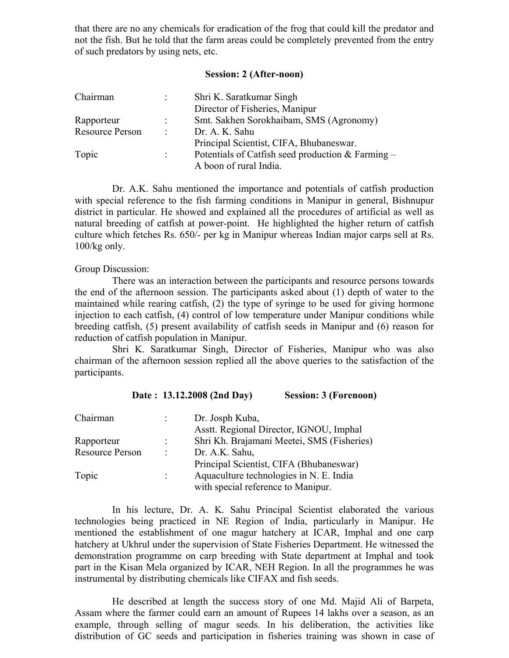that there are no any chemicals for eradication of the frog that could kill the predator and not the fish. But he told that the farm areas could be completely prevented from the entry of such predators by using nets, etc.

# **Session: 2 (After-noon)**

| Chairman        |                      | Shri K. Saratkumar Singh                                   |  |
|-----------------|----------------------|------------------------------------------------------------|--|
|                 |                      | Director of Fisheries, Manipur                             |  |
| Rapporteur      |                      | Smt. Sakhen Sorokhaibam, SMS (Agronomy)                    |  |
| Resource Person | $\ddot{\phantom{a}}$ | Dr. A. K. Sahu                                             |  |
|                 |                      | Principal Scientist, CIFA, Bhubaneswar.                    |  |
| Topic           | ÷.                   | Potentials of Catfish seed production $& \text{Farming} -$ |  |
|                 |                      | A boon of rural India.                                     |  |

 Dr. A.K. Sahu mentioned the importance and potentials of catfish production with special reference to the fish farming conditions in Manipur in general, Bishnupur district in particular. He showed and explained all the procedures of artificial as well as natural breeding of catfish at power-point. He highlighted the higher return of catfish culture which fetches Rs. 650/- per kg in Manipur whereas Indian major carps sell at Rs. 100/kg only.

## Group Discussion:

 There was an interaction between the participants and resource persons towards the end of the afternoon session. The participants asked about (1) depth of water to the maintained while rearing catfish, (2) the type of syringe to be used for giving hormone injection to each catfish, (4) control of low temperature under Manipur conditions while breeding catfish, (5) present availability of catfish seeds in Manipur and (6) reason for reduction of catfish population in Manipur.

 Shri K. Saratkumar Singh, Director of Fisheries, Manipur who was also chairman of the afternoon session replied all the above queries to the satisfaction of the participants.

| Chairman               |                | Dr. Josph Kuba,<br>Asstt. Regional Director, IGNOU, Imphal                                                               |
|------------------------|----------------|--------------------------------------------------------------------------------------------------------------------------|
| Rapporteur             |                | Shri Kh. Brajamani Meetei, SMS (Fisheries)                                                                               |
| <b>Resource Person</b> | $\ddot{\cdot}$ | Dr. A.K. Sahu,                                                                                                           |
| Topic                  | $\ddot{\cdot}$ | Principal Scientist, CIFA (Bhubaneswar)<br>Aquaculture technologies in N. E. India<br>with special reference to Manipur. |

**Date : 13.12.2008 (2nd Day) Session: 3 (Forenoon)** 

 In his lecture, Dr. A. K. Sahu Principal Scientist elaborated the various technologies being practiced in NE Region of India, particularly in Manipur. He mentioned the establishment of one magur hatchery at ICAR, Imphal and one carp hatchery at Ukhrul under the supervision of State Fisheries Department. He witnessed the demonstration programme on carp breeding with State department at Imphal and took part in the Kisan Mela organized by ICAR, NEH Region. In all the programmes he was instrumental by distributing chemicals like CIFAX and fish seeds.

 He described at length the success story of one Md. Majid Ali of Barpeta, Assam where the farmer could earn an amount of Rupees 14 lakhs over a season, as an example, through selling of magur seeds. In his deliberation, the activities like distribution of GC seeds and participation in fisheries training was shown in case of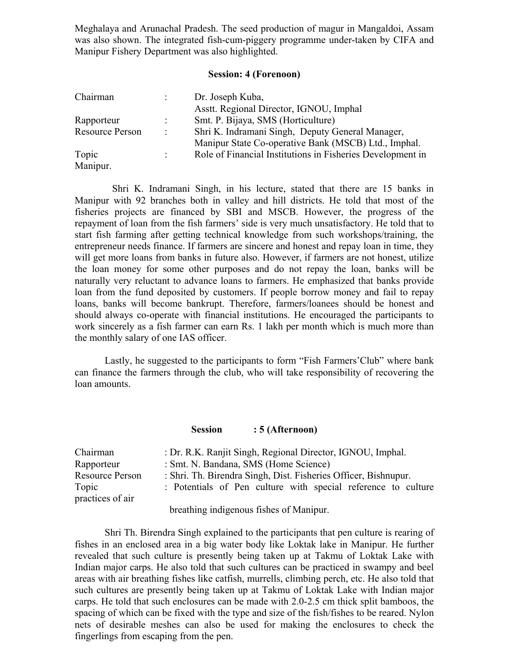Meghalaya and Arunachal Pradesh. The seed production of magur in Mangaldoi, Assam was also shown. The integrated fish-cum-piggery programme under-taken by CIFA and Manipur Fishery Department was also highlighted.

## **Session: 4 (Forenoon)**

| Chairman               |   | Dr. Joseph Kuba,                                           |
|------------------------|---|------------------------------------------------------------|
|                        |   | Asstt. Regional Director, IGNOU, Imphal                    |
| Rapporteur             |   | Smt. P. Bijaya, SMS (Horticulture)                         |
| <b>Resource Person</b> | ÷ | Shri K. Indramani Singh, Deputy General Manager,           |
|                        |   | Manipur State Co-operative Bank (MSCB) Ltd., Imphal.       |
| Topic                  | ÷ | Role of Financial Institutions in Fisheries Development in |
| Manipur.               |   |                                                            |

 Shri K. Indramani Singh, in his lecture, stated that there are 15 banks in Manipur with 92 branches both in valley and hill districts. He told that most of the fisheries projects are financed by SBI and MSCB. However, the progress of the repayment of loan from the fish farmers' side is very much unsatisfactory. He told that to start fish farming after getting technical knowledge from such workshops/training, the entrepreneur needs finance. If farmers are sincere and honest and repay loan in time, they will get more loans from banks in future also. However, if farmers are not honest, utilize the loan money for some other purposes and do not repay the loan, banks will be naturally very reluctant to advance loans to farmers. He emphasized that banks provide loan from the fund deposited by customers. If people borrow money and fail to repay loans, banks will become bankrupt. Therefore, farmers/loanees should be honest and should always co-operate with financial institutions. He encouraged the participants to work sincerely as a fish farmer can earn Rs. 1 lakh per month which is much more than the monthly salary of one IAS officer.

 Lastly, he suggested to the participants to form "Fish Farmers'Club" where bank can finance the farmers through the club, who will take responsibility of recovering the loan amounts.

**Session : 5 (Afternoon)** 

| Chairman         | : Dr. R.K. Ranjit Singh, Regional Director, IGNOU, Imphal.      |  |  |  |  |  |  |  |
|------------------|-----------------------------------------------------------------|--|--|--|--|--|--|--|
| Rapporteur       | : Smt. N. Bandana, SMS (Home Science)                           |  |  |  |  |  |  |  |
| Resource Person  | : Shri. Th. Birendra Singh, Dist. Fisheries Officer, Bishnupur. |  |  |  |  |  |  |  |
| Topic            | : Potentials of Pen culture with special reference to culture   |  |  |  |  |  |  |  |
| practices of air | $1 \quad 1 \quad 1 \quad 1 \quad 1$                             |  |  |  |  |  |  |  |

breathing indigenous fishes of Manipur.

 Shri Th. Birendra Singh explained to the participants that pen culture is rearing of fishes in an enclosed area in a big water body like Loktak lake in Manipur. He further revealed that such culture is presently being taken up at Takmu of Loktak Lake with Indian major carps. He also told that such cultures can be practiced in swampy and beel areas with air breathing fishes like catfish, murrells, climbing perch, etc. He also told that such cultures are presently being taken up at Takmu of Loktak Lake with Indian major carps. He told that such enclosures can be made with 2.0-2.5 cm thick split bamboos, the spacing of which can be fixed with the type and size of the fish/fishes to be reared. Nylon nets of desirable meshes can also be used for making the enclosures to check the fingerlings from escaping from the pen.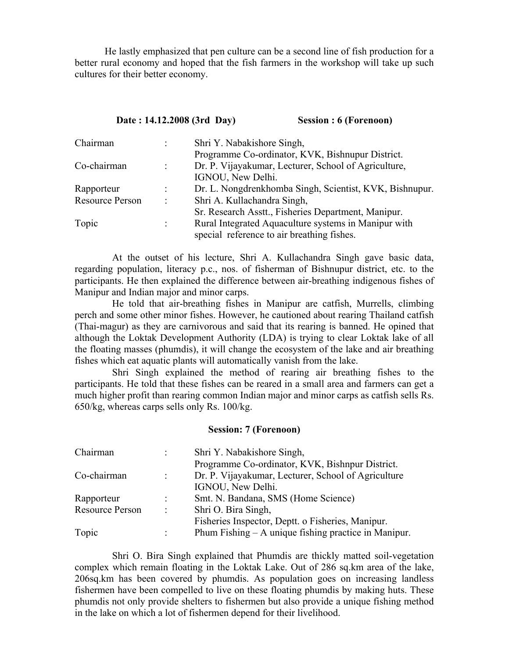He lastly emphasized that pen culture can be a second line of fish production for a better rural economy and hoped that the fish farmers in the workshop will take up such cultures for their better economy.

# **Date : 14.12.2008 (3rd Day) Session : 6 (Forenoon)**

| Chairman        |                      | Shri Y. Nabakishore Singh,                              |  |  |
|-----------------|----------------------|---------------------------------------------------------|--|--|
|                 |                      | Programme Co-ordinator, KVK, Bishnupur District.        |  |  |
| Co-chairman     | ÷.                   | Dr. P. Vijayakumar, Lecturer, School of Agriculture,    |  |  |
|                 |                      | IGNOU, New Delhi.                                       |  |  |
| Rapporteur      |                      | Dr. L. Nongdrenkhomba Singh, Scientist, KVK, Bishnupur. |  |  |
| Resource Person | ÷                    | Shri A. Kullachandra Singh,                             |  |  |
|                 |                      | Sr. Research Asstt., Fisheries Department, Manipur.     |  |  |
| Topic           | $\ddot{\phantom{a}}$ | Rural Integrated Aquaculture systems in Manipur with    |  |  |
|                 |                      | special reference to air breathing fishes.              |  |  |

 At the outset of his lecture, Shri A. Kullachandra Singh gave basic data, regarding population, literacy p.c., nos. of fisherman of Bishnupur district, etc. to the participants. He then explained the difference between air-breathing indigenous fishes of Manipur and Indian major and minor carps.

 He told that air-breathing fishes in Manipur are catfish, Murrells, climbing perch and some other minor fishes. However, he cautioned about rearing Thailand catfish (Thai-magur) as they are carnivorous and said that its rearing is banned. He opined that although the Loktak Development Authority (LDA) is trying to clear Loktak lake of all the floating masses (phumdis), it will change the ecosystem of the lake and air breathing fishes which eat aquatic plants will automatically vanish from the lake.

 Shri Singh explained the method of rearing air breathing fishes to the participants. He told that these fishes can be reared in a small area and farmers can get a much higher profit than rearing common Indian major and minor carps as catfish sells Rs. 650/kg, whereas carps sells only Rs. 100/kg.

# **Session: 7 (Forenoon)**

| Chairman        | ÷                    | Shri Y. Nabakishore Singh,                             |  |  |
|-----------------|----------------------|--------------------------------------------------------|--|--|
|                 |                      | Programme Co-ordinator, KVK, Bishnpur District.        |  |  |
| Co-chairman     |                      | Dr. P. Vijayakumar, Lecturer, School of Agriculture    |  |  |
|                 |                      | IGNOU, New Delhi.                                      |  |  |
| Rapporteur      | ÷                    | Smt. N. Bandana, SMS (Home Science)                    |  |  |
| Resource Person | $\ddot{\phantom{a}}$ | Shri O. Bira Singh,                                    |  |  |
|                 |                      | Fisheries Inspector, Deptt. o Fisheries, Manipur.      |  |  |
| Topic           | ٠                    | Phum Fishing $- A$ unique fishing practice in Manipur. |  |  |

 Shri O. Bira Singh explained that Phumdis are thickly matted soil-vegetation complex which remain floating in the Loktak Lake. Out of 286 sq.km area of the lake, 206sq.km has been covered by phumdis. As population goes on increasing landless fishermen have been compelled to live on these floating phumdis by making huts. These phumdis not only provide shelters to fishermen but also provide a unique fishing method in the lake on which a lot of fishermen depend for their livelihood.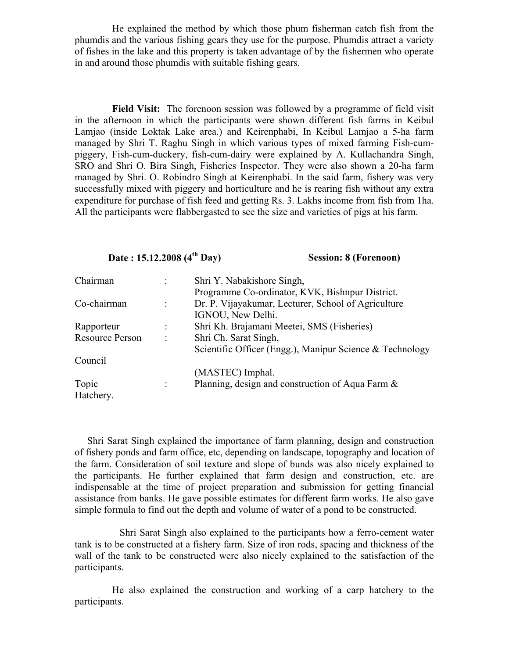He explained the method by which those phum fisherman catch fish from the phumdis and the various fishing gears they use for the purpose. Phumdis attract a variety of fishes in the lake and this property is taken advantage of by the fishermen who operate in and around those phumdis with suitable fishing gears.

**Field Visit:** The forenoon session was followed by a programme of field visit in the afternoon in which the participants were shown different fish farms in Keibul Lamjao (inside Loktak Lake area.) and Keirenphabi, In Keibul Lamjao a 5-ha farm managed by Shri T. Raghu Singh in which various types of mixed farming Fish-cumpiggery, Fish-cum-duckery, fish-cum-dairy were explained by A. Kullachandra Singh, SRO and Shri O. Bira Singh, Fisheries Inspector. They were also shown a 20-ha farm managed by Shri. O. Robindro Singh at Keirenphabi. In the said farm, fishery was very successfully mixed with piggery and horticulture and he is rearing fish without any extra expenditure for purchase of fish feed and getting Rs. 3. Lakhs income from fish from 1ha. All the participants were flabbergasted to see the size and varieties of pigs at his farm.

# **Date : 15.12.2008 (4<sup>th</sup> Day)** Session: 8 (Forenoon)

| Chairman               | $\ddot{\cdot}$ | Shri Y. Nabakishore Singh,                               |  |  |  |
|------------------------|----------------|----------------------------------------------------------|--|--|--|
|                        |                | Programme Co-ordinator, KVK, Bishnpur District.          |  |  |  |
| Co-chairman            |                | Dr. P. Vijayakumar, Lecturer, School of Agriculture      |  |  |  |
|                        |                | IGNOU, New Delhi.                                        |  |  |  |
| Rapporteur             |                | Shri Kh. Brajamani Meetei, SMS (Fisheries)               |  |  |  |
| <b>Resource Person</b> | $\ddot{\cdot}$ | Shri Ch. Sarat Singh,                                    |  |  |  |
|                        |                | Scientific Officer (Engg.), Manipur Science & Technology |  |  |  |
| Council                |                |                                                          |  |  |  |
|                        |                | (MASTEC) Imphal.                                         |  |  |  |
| Topic                  | л.             | Planning, design and construction of Aqua Farm $\&$      |  |  |  |
| Hatchery.              |                |                                                          |  |  |  |

 Shri Sarat Singh explained the importance of farm planning, design and construction of fishery ponds and farm office, etc, depending on landscape, topography and location of the farm. Consideration of soil texture and slope of bunds was also nicely explained to the participants. He further explained that farm design and construction, etc. are indispensable at the time of project preparation and submission for getting financial assistance from banks. He gave possible estimates for different farm works. He also gave simple formula to find out the depth and volume of water of a pond to be constructed.

 Shri Sarat Singh also explained to the participants how a ferro-cement water tank is to be constructed at a fishery farm. Size of iron rods, spacing and thickness of the wall of the tank to be constructed were also nicely explained to the satisfaction of the participants.

 He also explained the construction and working of a carp hatchery to the participants.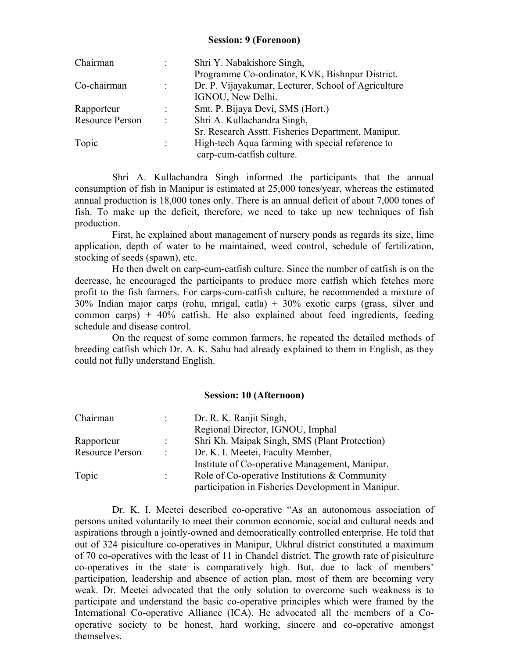# **Session: 9 (Forenoon)**

| Chairman               |                      | Shri Y. Nabakishore Singh,                          |  |  |
|------------------------|----------------------|-----------------------------------------------------|--|--|
|                        |                      | Programme Co-ordinator, KVK, Bishnpur District.     |  |  |
| Co-chairman            | ÷                    | Dr. P. Vijayakumar, Lecturer, School of Agriculture |  |  |
|                        |                      | IGNOU, New Delhi.                                   |  |  |
| Rapporteur             |                      | Smt. P. Bijaya Devi, SMS (Hort.)                    |  |  |
| <b>Resource Person</b> | $\ddot{\cdot}$       | Shri A. Kullachandra Singh,                         |  |  |
|                        |                      | Sr. Research Asstt. Fisheries Department, Manipur.  |  |  |
| Topic                  | $\ddot{\phantom{a}}$ | High-tech Aqua farming with special reference to    |  |  |
|                        |                      | carp-cum-catfish culture.                           |  |  |

 Shri A. Kullachandra Singh informed the participants that the annual consumption of fish in Manipur is estimated at 25,000 tones/year, whereas the estimated annual production is 18,000 tones only. There is an annual deficit of about 7,000 tones of fish. To make up the deficit, therefore, we need to take up new techniques of fish production.

 First, he explained about management of nursery ponds as regards its size, lime application, depth of water to be maintained, weed control, schedule of fertilization, stocking of seeds (spawn), etc.

 He then dwelt on carp-cum-catfish culture. Since the number of catfish is on the decrease, he encouraged the participants to produce more catfish which fetches more profit to the fish farmers. For carps-cum-catfish culture, he recommended a mixture of 30% Indian major carps (rohu, mrigal, catla) + 30% exotic carps (grass, silver and common carps) + 40% catfish. He also explained about feed ingredients, feeding schedule and disease control.

 On the request of some common farmers, he repeated the detailed methods of breeding catfish which Dr. A. K. Sahu had already explained to them in English, as they could not fully understand English.

## **Session: 10 (Afternoon)**

| Chairman               |                      | Dr. R. K. Ranjit Singh,                            |  |  |  |
|------------------------|----------------------|----------------------------------------------------|--|--|--|
|                        |                      | Regional Director, IGNOU, Imphal                   |  |  |  |
| Rapporteur             |                      | Shri Kh. Maipak Singh, SMS (Plant Protection)      |  |  |  |
| <b>Resource Person</b> | $\ddot{\phantom{a}}$ | Dr. K. I. Meetei, Faculty Member,                  |  |  |  |
|                        |                      | Institute of Co-operative Management, Manipur.     |  |  |  |
| Topic                  | ÷                    | Role of Co-operative Institutions & Community      |  |  |  |
|                        |                      | participation in Fisheries Development in Manipur. |  |  |  |

 Dr. K. I. Meetei described co-operative "As an autonomous association of persons united voluntarily to meet their common economic, social and cultural needs and aspirations through a jointly-owned and democratically controlled enterprise. He told that out of 324 pisiculture co-operatives in Manipur, Ukhrul district constituted a maximum of 70 co-operatives with the least of 11 in Chandel district. The growth rate of pisiculture co-operatives in the state is comparatively high. But, due to lack of members' participation, leadership and absence of action plan, most of them are becoming very weak. Dr. Meetei advocated that the only solution to overcome such weakness is to participate and understand the basic co-operative principles which were framed by the International Co-operative Alliance (ICA). He advocated all the members of a Cooperative society to be honest, hard working, sincere and co-operative amongst themselves.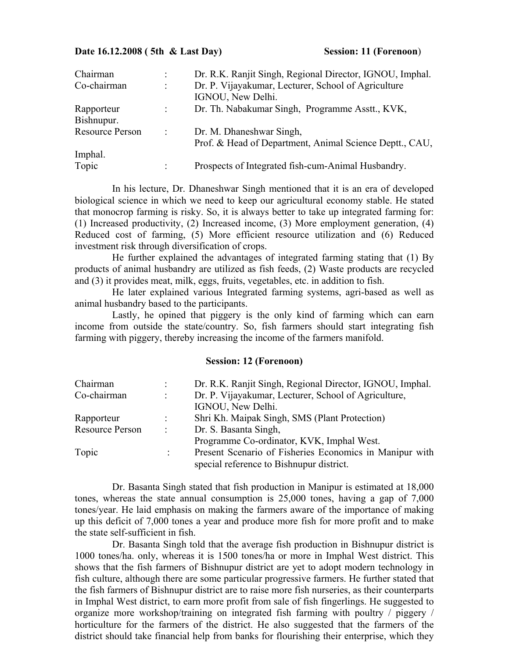#### **Date 16.12.2008 (5th & Last Day)** Session: 11 (Forenoon)

| Chairman               | ٠                    | Dr. R.K. Ranjit Singh, Regional Director, IGNOU, Imphal. |  |  |
|------------------------|----------------------|----------------------------------------------------------|--|--|
| Co-chairman            | $\bullet$            | Dr. P. Vijayakumar, Lecturer, School of Agriculture      |  |  |
|                        |                      | IGNOU, New Delhi.                                        |  |  |
| Rapporteur             |                      | Dr. Th. Nabakumar Singh, Programme Asstt., KVK,          |  |  |
| Bishnupur.             |                      |                                                          |  |  |
| <b>Resource Person</b> | $\ddot{\phantom{a}}$ | Dr. M. Dhaneshwar Singh,                                 |  |  |
|                        |                      | Prof. & Head of Department, Animal Science Deptt., CAU,  |  |  |
| Imphal.                |                      |                                                          |  |  |
| Topic                  | $\bullet$            | Prospects of Integrated fish-cum-Animal Husbandry.       |  |  |

 In his lecture, Dr. Dhaneshwar Singh mentioned that it is an era of developed biological science in which we need to keep our agricultural economy stable. He stated that monocrop farming is risky. So, it is always better to take up integrated farming for: (1) Increased productivity, (2) Increased income, (3) More employment generation, (4) Reduced cost of farming, (5) More efficient resource utilization and (6) Reduced investment risk through diversification of crops.

 He further explained the advantages of integrated farming stating that (1) By products of animal husbandry are utilized as fish feeds, (2) Waste products are recycled and (3) it provides meat, milk, eggs, fruits, vegetables, etc. in addition to fish.

 He later explained various Integrated farming systems, agri-based as well as animal husbandry based to the participants.

 Lastly, he opined that piggery is the only kind of farming which can earn income from outside the state/country. So, fish farmers should start integrating fish farming with piggery, thereby increasing the income of the farmers manifold.

### **Session: 12 (Forenoon)**

| Chairman               |                  | Dr. R.K. Ranjit Singh, Regional Director, IGNOU, Imphal. |  |  |
|------------------------|------------------|----------------------------------------------------------|--|--|
| Co-chairman            | ÷.               | Dr. P. Vijayakumar, Lecturer, School of Agriculture,     |  |  |
|                        |                  | IGNOU, New Delhi.                                        |  |  |
| Rapporteur             |                  | Shri Kh. Maipak Singh, SMS (Plant Protection)            |  |  |
| <b>Resource Person</b> | $\sim$ 100 $\pm$ | Dr. S. Basanta Singh,                                    |  |  |
|                        |                  | Programme Co-ordinator, KVK, Imphal West.                |  |  |
| Topic                  | ٠.               | Present Scenario of Fisheries Economics in Manipur with  |  |  |
|                        |                  | special reference to Bishnupur district.                 |  |  |

 Dr. Basanta Singh stated that fish production in Manipur is estimated at 18,000 tones, whereas the state annual consumption is 25,000 tones, having a gap of 7,000 tones/year. He laid emphasis on making the farmers aware of the importance of making up this deficit of 7,000 tones a year and produce more fish for more profit and to make the state self-sufficient in fish.

 Dr. Basanta Singh told that the average fish production in Bishnupur district is 1000 tones/ha. only, whereas it is 1500 tones/ha or more in Imphal West district. This shows that the fish farmers of Bishnupur district are yet to adopt modern technology in fish culture, although there are some particular progressive farmers. He further stated that the fish farmers of Bishnupur district are to raise more fish nurseries, as their counterparts in Imphal West district, to earn more profit from sale of fish fingerlings. He suggested to organize more workshop/training on integrated fish farming with poultry / piggery / horticulture for the farmers of the district. He also suggested that the farmers of the district should take financial help from banks for flourishing their enterprise, which they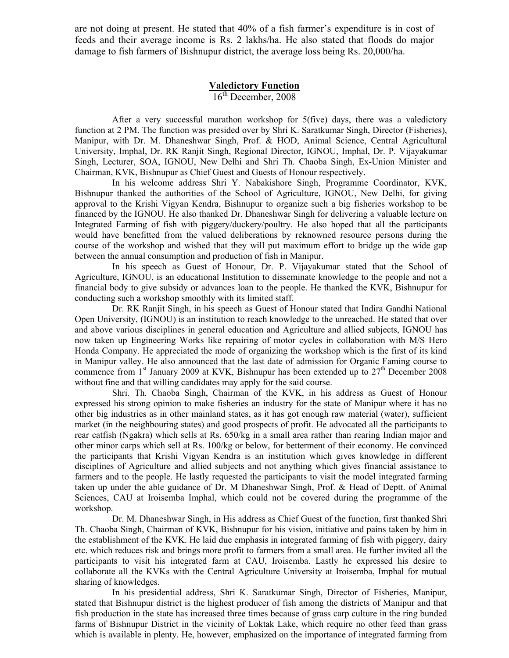are not doing at present. He stated that 40% of a fish farmer's expenditure is in cost of feeds and their average income is Rs. 2 lakhs/ha. He also stated that floods do major damage to fish farmers of Bishnupur district, the average loss being Rs. 20,000/ha.

## **Valedictory Function**

16<sup>th</sup> December, 2008

After a very successful marathon workshop for 5(five) days, there was a valedictory function at 2 PM. The function was presided over by Shri K. Saratkumar Singh, Director (Fisheries), Manipur, with Dr. M. Dhaneshwar Singh, Prof. & HOD, Animal Science, Central Agricultural University, Imphal, Dr. RK Ranjit Singh, Regional Director, IGNOU, Imphal, Dr. P. Vijayakumar Singh, Lecturer, SOA, IGNOU, New Delhi and Shri Th. Chaoba Singh, Ex-Union Minister and Chairman, KVK, Bishnupur as Chief Guest and Guests of Honour respectively.

 In his welcome address Shri Y. Nabakishore Singh, Programme Coordinator, KVK, Bishnupur thanked the authorities of the School of Agriculture, IGNOU, New Delhi, for giving approval to the Krishi Vigyan Kendra, Bishnupur to organize such a big fisheries workshop to be financed by the IGNOU. He also thanked Dr. Dhaneshwar Singh for delivering a valuable lecture on Integrated Farming of fish with piggery/duckery/poultry. He also hoped that all the participants would have benefitted from the valued deliberations by reknowned resource persons during the course of the workshop and wished that they will put maximum effort to bridge up the wide gap between the annual consumption and production of fish in Manipur.

 In his speech as Guest of Honour, Dr. P. Vijayakumar stated that the School of Agriculture, IGNOU, is an educational Institution to disseminate knowledge to the people and not a financial body to give subsidy or advances loan to the people. He thanked the KVK, Bishnupur for conducting such a workshop smoothly with its limited staff.

 Dr. RK Ranjit Singh, in his speech as Guest of Honour stated that Indira Gandhi National Open University, (IGNOU) is an institution to reach knowledge to the unreached. He stated that over and above various disciplines in general education and Agriculture and allied subjects, IGNOU has now taken up Engineering Works like repairing of motor cycles in collaboration with M/S Hero Honda Company. He appreciated the mode of organizing the workshop which is the first of its kind in Manipur valley. He also announced that the last date of admission for Organic Faming course to commence from  $1<sup>st</sup>$  January 2009 at KVK, Bishnupur has been extended up to  $27<sup>th</sup>$  December 2008 without fine and that willing candidates may apply for the said course.

 Shri. Th. Chaoba Singh, Chairman of the KVK, in his address as Guest of Honour expressed his strong opinion to make fisheries an industry for the state of Manipur where it has no other big industries as in other mainland states, as it has got enough raw material (water), sufficient market (in the neighbouring states) and good prospects of profit. He advocated all the participants to rear catfish (Ngakra) which sells at Rs. 650/kg in a small area rather than rearing Indian major and other minor carps which sell at Rs. 100/kg or below, for betterment of their economy. He convinced the participants that Krishi Vigyan Kendra is an institution which gives knowledge in different disciplines of Agriculture and allied subjects and not anything which gives financial assistance to farmers and to the people. He lastly requested the participants to visit the model integrated farming taken up under the able guidance of Dr. M Dhaneshwar Singh, Prof. & Head of Deptt. of Animal Sciences, CAU at Iroisemba Imphal, which could not be covered during the programme of the workshop.

 Dr. M. Dhaneshwar Singh, in His address as Chief Guest of the function, first thanked Shri Th. Chaoba Singh, Chairman of KVK, Bishnupur for his vision, initiative and pains taken by him in the establishment of the KVK. He laid due emphasis in integrated farming of fish with piggery, dairy etc. which reduces risk and brings more profit to farmers from a small area. He further invited all the participants to visit his integrated farm at CAU, Iroisemba. Lastly he expressed his desire to collaborate all the KVKs with the Central Agriculture University at Iroisemba, Imphal for mutual sharing of knowledges.

 In his presidential address, Shri K. Saratkumar Singh, Director of Fisheries, Manipur, stated that Bishnupur district is the highest producer of fish among the districts of Manipur and that fish production in the state has increased three times because of grass carp culture in the ring bunded farms of Bishnupur District in the vicinity of Loktak Lake, which require no other feed than grass which is available in plenty. He, however, emphasized on the importance of integrated farming from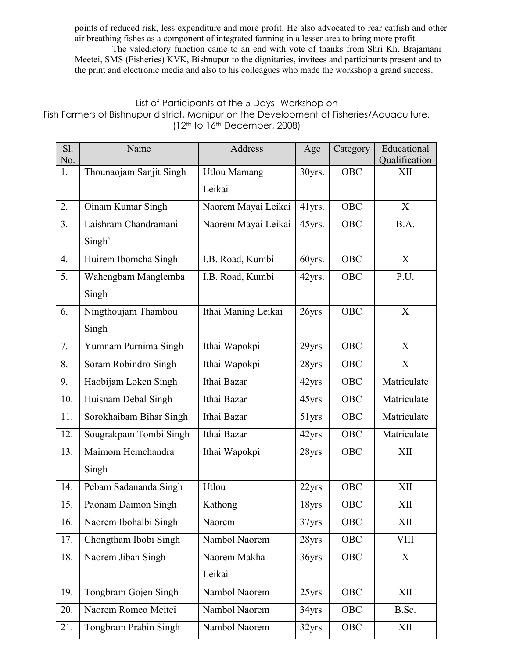points of reduced risk, less expenditure and more profit. He also advocated to rear catfish and other air breathing fishes as a component of integrated farming in a lesser area to bring more profit.

 The valedictory function came to an end with vote of thanks from Shri Kh. Brajamani Meetei, SMS (Fisheries) KVK, Bishnupur to the dignitaries, invitees and participants present and to the print and electronic media and also to his colleagues who made the workshop a grand success.

# List of Participants at the 5 Days' Workshop on

# Fish Farmers of Bishnupur district, Manipur on the Development of Fisheries/Aquaculture. (12th to 16th December, 2008)

| Sl.            | Name                    | <b>Address</b>      | Age    | Category   | Educational          |
|----------------|-------------------------|---------------------|--------|------------|----------------------|
| No.<br>1.      | Thounaojam Sanjit Singh |                     |        | OBC        | Qualification<br>XII |
|                |                         | <b>Utlou Mamang</b> | 30yrs. |            |                      |
|                |                         | Leikai              |        |            |                      |
| 2.             | Oinam Kumar Singh       | Naorem Mayai Leikai | 41yrs. | OBC        | X                    |
| 3 <sub>1</sub> | Laishram Chandramani    | Naorem Mayai Leikai | 45yrs. | OBC        | B.A.                 |
|                | Singh`                  |                     |        |            |                      |
| 4.             | Huirem Ibomcha Singh    | I.B. Road, Kumbi    | 60yrs. | OBC        | X                    |
| 5.             | Wahengbam Manglemba     | I.B. Road, Kumbi    | 42yrs. | OBC        | P.U.                 |
|                | Singh                   |                     |        |            |                      |
| 6.             | Ningthoujam Thambou     | Ithai Maning Leikai | 26yrs  | <b>OBC</b> | X                    |
|                | Singh                   |                     |        |            |                      |
| 7.             | Yumnam Purnima Singh    | Ithai Wapokpi       | 29yrs  | OBC        | X                    |
| 8.             | Soram Robindro Singh    | Ithai Wapokpi       | 28yrs  | OBC        | X                    |
| 9.             | Haobijam Loken Singh    | Ithai Bazar         | 42yrs  | <b>OBC</b> | Matriculate          |
| 10.            | Huisnam Debal Singh     | Ithai Bazar         | 45yrs  | <b>OBC</b> | Matriculate          |
| 11.            | Sorokhaibam Bihar Singh | Ithai Bazar         | 51yrs  | <b>OBC</b> | Matriculate          |
| 12.            | Sougrakpam Tombi Singh  | Ithai Bazar         | 42yrs  | <b>OBC</b> | Matriculate          |
| 13.            | Maimom Hemchandra       | Ithai Wapokpi       | 28yrs  | <b>OBC</b> | XII                  |
|                | Singh                   |                     |        |            |                      |
| 14.            | Pebam Sadananda Singh   | Utlou               | 22yrs  | <b>OBC</b> | XII                  |
| 15.            | Paonam Daimon Singh     | Kathong             | 18yrs  | <b>OBC</b> | XII                  |
| 16.            | Naorem Ibohalbi Singh   | Naorem              | 37yrs  | OBC        | XII                  |
| 17.            | Chongtham Ibobi Singh   | Nambol Naorem       | 28yrs  | OBC        | <b>VIII</b>          |
| 18.            | Naorem Jiban Singh      | Naorem Makha        | 36yrs  | OBC        | X                    |
|                |                         | Leikai              |        |            |                      |
| 19.            | Tongbram Gojen Singh    | Nambol Naorem       | 25yrs  | <b>OBC</b> | XII                  |
| 20.            | Naorem Romeo Meitei     | Nambol Naorem       | 34yrs  | OBC        | B.Sc.                |
| 21.            | Tongbram Prabin Singh   | Nambol Naorem       | 32yrs  | OBC        | XII                  |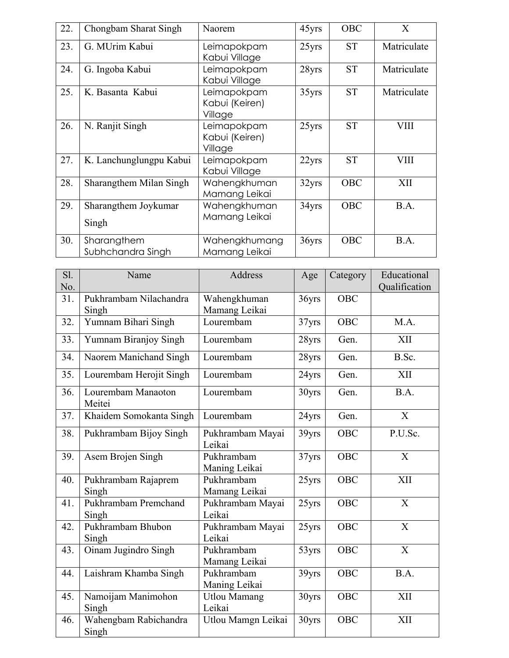| 22. | Chongbam Sharat Singh            | Naorem                                   | 45yrs | <b>OBC</b> | X           |
|-----|----------------------------------|------------------------------------------|-------|------------|-------------|
| 23. | G. MUrim Kabui                   | Leimapokpam<br>Kabui Village             | 25yrs | <b>ST</b>  | Matriculate |
| 24. | G. Ingoba Kabui                  | Leimapokpam<br>Kabui Village             | 28yrs | <b>ST</b>  | Matriculate |
| 25. | K. Basanta Kabui                 | Leimapokpam<br>Kabui (Keiren)<br>Village | 35yrs | <b>ST</b>  | Matriculate |
| 26. | N. Ranjit Singh                  | Leimapokpam<br>Kabui (Keiren)<br>Village | 25yrs | <b>ST</b>  | <b>VIII</b> |
| 27. | K. Lanchunglungpu Kabui          | Leimapokpam<br>Kabui Village             | 22yrs | <b>ST</b>  | <b>VIII</b> |
| 28. | Sharangthem Milan Singh          | Wahengkhuman<br>Mamang Leikai            | 32yrs | <b>OBC</b> | XII         |
| 29. | Sharangthem Joykumar<br>Singh    | Wahengkhuman<br>Mamang Leikai            | 34yrs | <b>OBC</b> | B.A.        |
| 30. | Sharangthem<br>Subhchandra Singh | Wahengkhumang<br>Mamang Leikai           | 36yrs | <b>OBC</b> | B.A.        |

| Sl.<br>No. | Name                            | Address                       | Age   | Category   | Educational<br>Qualification |
|------------|---------------------------------|-------------------------------|-------|------------|------------------------------|
| 31.        | Pukhrambam Nilachandra<br>Singh | Wahengkhuman<br>Mamang Leikai | 36yrs | OBC        |                              |
| 32.        | Yumnam Bihari Singh             | Lourembam                     | 37yrs | <b>OBC</b> | M.A.                         |
| 33.        | Yumnam Biranjoy Singh           | Lourembam                     | 28yrs | Gen.       | <b>XII</b>                   |
| 34.        | Naorem Manichand Singh          | Lourembam                     | 28yrs | Gen.       | B.Sc.                        |
| 35.        | Lourembam Herojit Singh         | Lourembam                     | 24yrs | Gen.       | XII                          |
| 36.        | Lourembam Manaoton<br>Meitei    | Lourembam                     | 30yrs | Gen.       | B.A.                         |
| 37.        | Khaidem Somokanta Singh         | Lourembam                     | 24yrs | Gen.       | X                            |
| 38.        | Pukhrambam Bijoy Singh          | Pukhrambam Mayai<br>Leikai    | 39yrs | <b>OBC</b> | P.U.Sc.                      |
| 39.        | Asem Brojen Singh               | Pukhrambam<br>Maning Leikai   | 37yrs | <b>OBC</b> | X                            |
| 40.        | Pukhrambam Rajaprem<br>Singh    | Pukhrambam<br>Mamang Leikai   | 25yrs | <b>OBC</b> | XII                          |
| 41.        | Pukhrambam Premchand<br>Singh   | Pukhrambam Mayai<br>Leikai    | 25yrs | <b>OBC</b> | X                            |
| 42.        | Pukhrambam Bhubon<br>Singh      | Pukhrambam Mayai<br>Leikai    | 25yrs | OBC        | X                            |
| 43.        | Oinam Jugindro Singh            | Pukhrambam<br>Mamang Leikai   | 53yrs | <b>OBC</b> | X                            |
| 44.        | Laishram Khamba Singh           | Pukhrambam<br>Maning Leikai   | 39yrs | <b>OBC</b> | B.A.                         |
| 45.        | Namoijam Manimohon<br>Singh     | <b>Utlou Mamang</b><br>Leikai | 30yrs | <b>OBC</b> | XII                          |
| 46.        | Wahengbam Rabichandra<br>Singh  | Utlou Mamgn Leikai            | 30yrs | <b>OBC</b> | XII                          |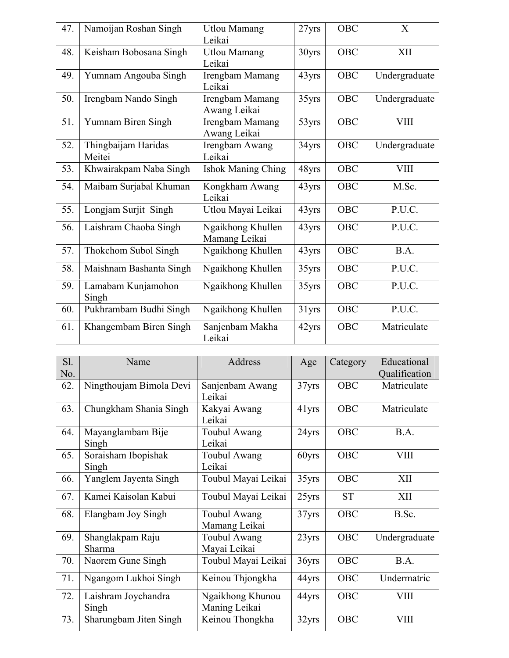| 47. | Namoijan Roshan Singh         | <b>Utlou Mamang</b><br>Leikai      | 27yrs | OBC        | X             |
|-----|-------------------------------|------------------------------------|-------|------------|---------------|
| 48. | Keisham Bobosana Singh        | <b>Utlou Mamang</b><br>Leikai      | 30yrs | <b>OBC</b> | XII           |
| 49. | Yumnam Angouba Singh          | Irengbam Mamang<br>Leikai          | 43yrs | <b>OBC</b> | Undergraduate |
| 50. | Irengbam Nando Singh          | Irengbam Mamang<br>Awang Leikai    | 35yrs | <b>OBC</b> | Undergraduate |
| 51. | Yumnam Biren Singh            | Irengbam Mamang<br>Awang Leikai    | 53yrs | <b>OBC</b> | <b>VIII</b>   |
| 52. | Thingbaijam Haridas<br>Meitei | Irengbam Awang<br>Leikai           | 34yrs | <b>OBC</b> | Undergraduate |
| 53. | Khwairakpam Naba Singh        | <b>Ishok Maning Ching</b>          | 48yrs | <b>OBC</b> | <b>VIII</b>   |
| 54. | Maibam Surjabal Khuman        | Kongkham Awang<br>Leikai           | 43yrs | <b>OBC</b> | M.Sc.         |
| 55. | Longjam Surjit Singh          | Utlou Mayai Leikai                 | 43yrs | <b>OBC</b> | P.U.C.        |
| 56. | Laishram Chaoba Singh         | Ngaikhong Khullen<br>Mamang Leikai | 43yrs | OBC        | P.U.C.        |
| 57. | Thokchom Subol Singh          | Ngaikhong Khullen                  | 43yrs | <b>OBC</b> | B.A.          |
| 58. | Maishnam Bashanta Singh       | Ngaikhong Khullen                  | 35yrs | <b>OBC</b> | P.U.C.        |
| 59. | Lamabam Kunjamohon<br>Singh   | Ngaikhong Khullen                  | 35yrs | <b>OBC</b> | P.U.C.        |
| 60. | Pukhrambam Budhi Singh        | Ngaikhong Khullen                  | 31yrs | <b>OBC</b> | P.U.C.        |
| 61. | Khangembam Biren Singh        | Sanjenbam Makha<br>Leikai          | 42yrs | <b>OBC</b> | Matriculate   |

| S1. | Name                    | Address             | Age   | Category   | Educational   |
|-----|-------------------------|---------------------|-------|------------|---------------|
| No. |                         |                     |       |            | Qualification |
| 62. | Ningthoujam Bimola Devi | Sanjenbam Awang     | 37yrs | <b>OBC</b> | Matriculate   |
|     |                         | Leikai              |       |            |               |
| 63. | Chungkham Shania Singh  | Kakyai Awang        | 41yrs | OBC        | Matriculate   |
|     |                         | Leikai              |       |            |               |
| 64. | Mayanglambam Bije       | <b>Toubul Awang</b> | 24yrs | <b>OBC</b> | B.A.          |
|     | Singh                   | Leikai              |       |            |               |
| 65. | Soraisham Ibopishak     | Toubul Awang        | 60yrs | <b>OBC</b> | <b>VIII</b>   |
|     | Singh                   | Leikai              |       |            |               |
| 66. | Yanglem Jayenta Singh   | Toubul Mayai Leikai | 35yrs | <b>OBC</b> | XII           |
| 67. | Kamei Kaisolan Kabui    | Toubul Mayai Leikai | 25yrs | <b>ST</b>  | XII           |
| 68. | Elangbam Joy Singh      | Toubul Awang        | 37yrs | <b>OBC</b> | B.Sc.         |
|     |                         | Mamang Leikai       |       |            |               |
| 69. | Shanglakpam Raju        | <b>Toubul Awang</b> | 23yrs | <b>OBC</b> | Undergraduate |
|     | Sharma                  | Mayai Leikai        |       |            |               |
| 70. | Naorem Gune Singh       | Toubul Mayai Leikai | 36yrs | <b>OBC</b> | B.A.          |
| 71. | Ngangom Lukhoi Singh    | Keinou Thjongkha    | 44yrs | <b>OBC</b> | Undermatric   |
| 72. | Laishram Joychandra     | Ngaikhong Khunou    | 44yrs | <b>OBC</b> | <b>VIII</b>   |
|     | Singh                   | Maning Leikai       |       |            |               |
| 73. | Sharungbam Jiten Singh  | Keinou Thongkha     | 32yrs | <b>OBC</b> | <b>VIII</b>   |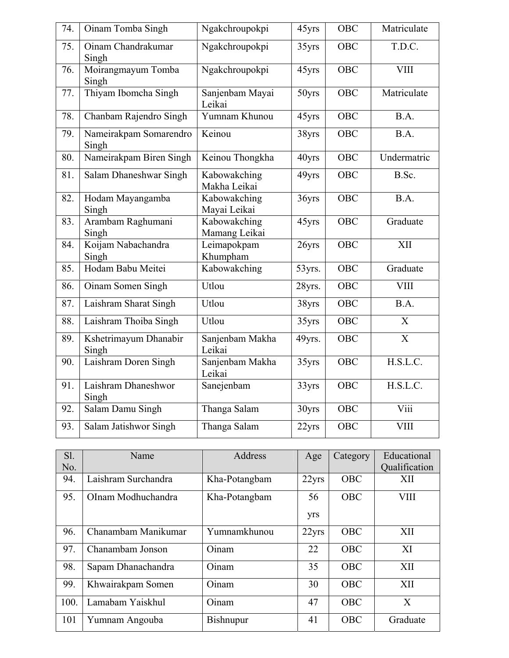| 74. | Oinam Tomba Singh               | Ngakchroupokpi                | 45yrs  | <b>OBC</b> | Matriculate           |
|-----|---------------------------------|-------------------------------|--------|------------|-----------------------|
| 75. | Oinam Chandrakumar<br>Singh     | Ngakchroupokpi                | 35yrs  | OBC        | T.D.C.                |
| 76. | Moirangmayum Tomba<br>Singh     | Ngakchroupokpi                | 45yrs  | <b>OBC</b> | <b>VIII</b>           |
| 77. | Thiyam Ibomcha Singh            | Sanjenbam Mayai<br>Leikai     | 50yrs  | <b>OBC</b> | Matriculate           |
| 78. | Chanbam Rajendro Singh          | Yumnam Khunou                 | 45yrs  | <b>OBC</b> | B.A.                  |
| 79. | Nameirakpam Somarendro<br>Singh | $\overline{\mathrm{K}}$ einou | 38yrs  | <b>OBC</b> | B.A.                  |
| 80. | Nameirakpam Biren Singh         | Keinou Thongkha               | 40yrs  | OBC        | Undermatric           |
| 81. | Salam Dhaneshwar Singh          | Kabowakching<br>Makha Leikai  | 49yrs  | <b>OBC</b> | B.Sc.                 |
| 82. | Hodam Mayangamba<br>Singh       | Kabowakching<br>Mayai Leikai  | 36yrs  | <b>OBC</b> | B.A.                  |
| 83. | Arambam Raghumani<br>Singh      | Kabowakching<br>Mamang Leikai | 45yrs  | <b>OBC</b> | Graduate              |
| 84. | Koijam Nabachandra<br>Singh     | Leimapokpam<br>Khumpham       | 26yrs  | <b>OBC</b> | XII                   |
| 85. | Hodam Babu Meitei               | Kabowakching                  | 53yrs. | <b>OBC</b> | Graduate              |
| 86. | Oinam Somen Singh               | Utlou                         | 28yrs. | <b>OBC</b> | <b>VIII</b>           |
| 87. | Laishram Sharat Singh           | Utlou                         | 38yrs  | OBC        | $\overline{BA}$ .     |
| 88. | Laishram Thoiba Singh           | Utlou                         | 35yrs  | <b>OBC</b> | X                     |
| 89. | Kshetrimayum Dhanabir<br>Singh  | Sanjenbam Makha<br>Leikai     | 49yrs. | <b>OBC</b> | $\overline{\text{X}}$ |
| 90. | Laishram Doren Singh            | Sanjenbam Makha<br>Leikai     | 35yrs  | <b>OBC</b> | H.S.L.C.              |
| 91. | Laishram Dhaneshwor<br>Singh    | Sanejenbam                    | 33yrs  | <b>OBC</b> | H.S.L.C.              |
| 92. | Salam Damu Singh                | Thanga Salam                  | 30yrs  | OBC        | Viii                  |
| 93. | Salam Jatishwor Singh           | Thanga Salam                  | 22yrs  | OBC        | <b>VIII</b>           |

| $S1$ . | Name                | Address       | Age   | Category   | Educational   |
|--------|---------------------|---------------|-------|------------|---------------|
| No.    |                     |               |       |            | Qualification |
| 94.    | Laishram Surchandra | Kha-Potangbam | 22yrs | <b>OBC</b> | XII           |
| 95.    | OInam Modhuchandra  | Kha-Potangbam | 56    | <b>OBC</b> | <b>VIII</b>   |
|        |                     |               | yrs   |            |               |
| 96.    | Chanambam Manikumar | Yumnamkhunou  | 22yrs | <b>OBC</b> | XII           |
| 97.    | Chanambam Jonson    | Oinam         | 22    | <b>OBC</b> | XI            |
| 98.    | Sapam Dhanachandra  | Oinam         | 35    | <b>OBC</b> | XII           |
| 99.    | Khwairakpam Somen   | Oinam         | 30    | <b>OBC</b> | XII           |
| 100.   | Lamabam Yaiskhul    | Oinam         | 47    | <b>OBC</b> | X             |
| 101    | Yumnam Angouba      | Bishnupur     | 41    | <b>OBC</b> | Graduate      |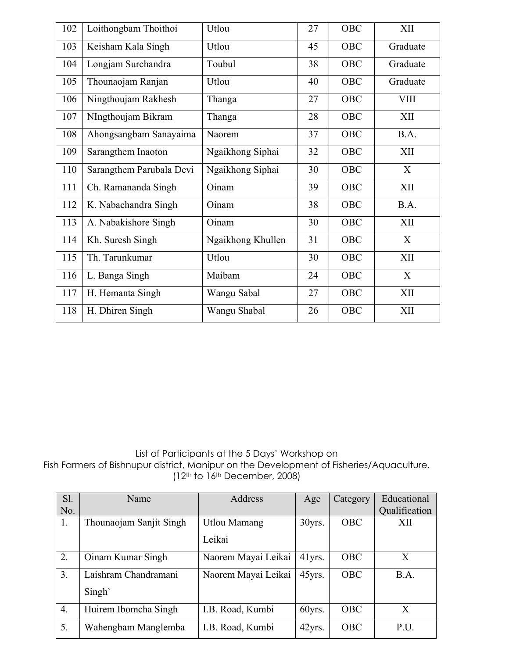| 102 | Loithongbam Thoithoi     | Utlou             | 27 | OBC        | XII         |
|-----|--------------------------|-------------------|----|------------|-------------|
| 103 | Keisham Kala Singh       | Utlou             | 45 | OBC        | Graduate    |
| 104 | Longjam Surchandra       | Toubul            | 38 | OBC        | Graduate    |
| 105 | Thounaojam Ranjan        | Utlou             | 40 | OBC        | Graduate    |
| 106 | Ningthoujam Rakhesh      | Thanga            | 27 | OBC        | <b>VIII</b> |
| 107 | NIngthoujam Bikram       | Thanga            | 28 | OBC        | XII         |
| 108 | Ahongsangbam Sanayaima   | Naorem            | 37 | OBC        | B.A.        |
| 109 | Sarangthem Inaoton       | Ngaikhong Siphai  | 32 | OBC        | XII         |
| 110 | Sarangthem Parubala Devi | Ngaikhong Siphai  | 30 | OBC        | X           |
| 111 | Ch. Ramananda Singh      | Oinam             | 39 | OBC        | XII         |
| 112 | K. Nabachandra Singh     | Oinam             | 38 | <b>OBC</b> | B.A.        |
| 113 | A. Nabakishore Singh     | Oinam             | 30 | OBC        | XII         |
| 114 | Kh. Suresh Singh         | Ngaikhong Khullen | 31 | <b>OBC</b> | X           |
| 115 | Th. Tarunkumar           | Utlou             | 30 | OBC        | XII         |
| 116 | L. Banga Singh           | Maibam            | 24 | OBC        | X           |
| 117 | H. Hemanta Singh         | Wangu Sabal       | 27 | OBC        | XII         |
| 118 | H. Dhiren Singh          | Wangu Shabal      | 26 | OBC        | XII         |

List of Participants at the 5 Days' Workshop on Fish Farmers of Bishnupur district, Manipur on the Development of Fisheries/Aquaculture.  $(12<sup>th</sup>$  to  $16<sup>th</sup>$  December, 2008)

| S1.<br>No.       | Name                    | <b>Address</b>      | Age    | Category   | Educational<br>Qualification |
|------------------|-------------------------|---------------------|--------|------------|------------------------------|
| 1.               | Thounaojam Sanjit Singh | <b>Utlou Mamang</b> | 30yrs. | <b>OBC</b> | XII                          |
|                  |                         | Leikai              |        |            |                              |
| 2.               | Oinam Kumar Singh       | Naorem Mayai Leikai | 41yrs. | <b>OBC</b> | X                            |
| 3.               | Laishram Chandramani    | Naorem Mayai Leikai | 45yrs. | <b>OBC</b> | B.A.                         |
|                  | Singh                   |                     |        |            |                              |
| $\overline{4}$ . | Huirem Ibomcha Singh    | I.B. Road, Kumbi    | 60yrs. | <b>OBC</b> | $\mathbf{X}$                 |
| 5.               | Wahengbam Manglemba     | I.B. Road, Kumbi    | 42yrs. | <b>OBC</b> | P.U.                         |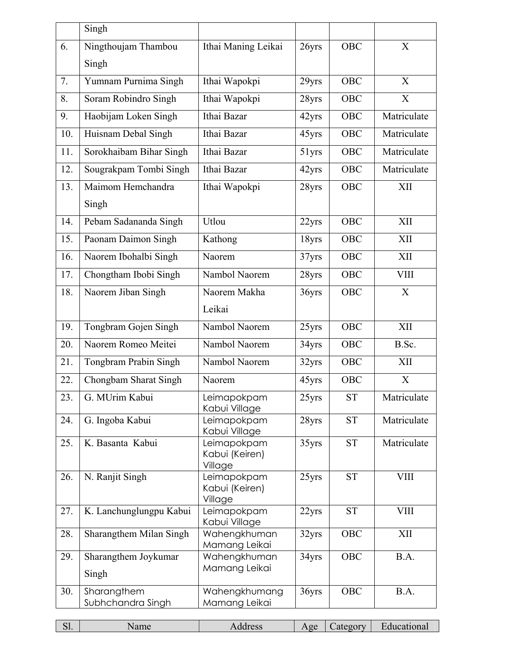|     | Singh                   |                               |       |                    |             |
|-----|-------------------------|-------------------------------|-------|--------------------|-------------|
| 6.  | Ningthoujam Thambou     | Ithai Maning Leikai           | 26yrs | <b>OBC</b>         | X           |
|     | Singh                   |                               |       |                    |             |
| 7.  | Yumnam Purnima Singh    | Ithai Wapokpi                 | 29yrs | <b>OBC</b>         | X           |
| 8.  | Soram Robindro Singh    | Ithai Wapokpi                 | 28yrs | <b>OBC</b>         | X           |
| 9.  | Haobijam Loken Singh    | Ithai Bazar                   | 42yrs | <b>OBC</b>         | Matriculate |
| 10. | Huisnam Debal Singh     | Ithai Bazar                   | 45yrs | <b>OBC</b>         | Matriculate |
| 11. | Sorokhaibam Bihar Singh | Ithai Bazar                   | 51yrs | <b>OBC</b>         | Matriculate |
| 12. | Sougrakpam Tombi Singh  | Ithai Bazar                   | 42yrs | <b>OBC</b>         | Matriculate |
| 13. | Maimom Hemchandra       | Ithai Wapokpi                 | 28yrs | OBC                | XII         |
|     | Singh                   |                               |       |                    |             |
| 14. | Pebam Sadananda Singh   | Utlou                         | 22yrs | OBC                | XII         |
| 15. | Paonam Daimon Singh     | Kathong                       | 18yrs | <b>OBC</b>         | XII         |
| 16. | Naorem Ibohalbi Singh   | Naorem                        | 37yrs | <b>OBC</b>         | XII         |
| 17. | Chongtham Ibobi Singh   | Nambol Naorem                 | 28yrs | <b>OBC</b>         | <b>VIII</b> |
| 18. | Naorem Jiban Singh      | Naorem Makha                  | 36yrs | <b>OBC</b>         | X           |
|     |                         | Leikai                        |       |                    |             |
| 19. | Tongbram Gojen Singh    | Nambol Naorem                 | 25yrs | <b>OBC</b>         | XII         |
| 20. | Naorem Romeo Meitei     | Nambol Naorem                 | 34yrs | <b>OBC</b>         | B.Sc.       |
| 21. | Tongbram Prabin Singh   | Nambol Naorem                 | 32yrs | OBC                | XII         |
| 22. | Chongbam Sharat Singh   | Naorem                        | 45yrs | OBC                | X           |
| 23. | G. MUrim Kabui          | Leimapokpam<br>Kabui Village  | 25yrs | <b>ST</b>          | Matriculate |
| 24. | G. Ingoba Kabui         | Leimapokpam<br>Kabui Village  | 28yrs | <b>ST</b>          | Matriculate |
| 25. | K. Basanta Kabui        | Leimapokpam<br>Kabui (Keiren) | 35yrs | ${\cal S}{\cal T}$ | Matriculate |
| 26. | N. Ranjit Singh         | Village<br>Leimapokpam        | 25yrs | <b>ST</b>          | <b>VIII</b> |
|     |                         | Kabui (Keiren)<br>Village     |       |                    |             |
| 27. | K. Lanchunglungpu Kabui | Leimapokpam<br>Kabui Village  | 22yrs | <b>ST</b>          | <b>VIII</b> |
| 28. | Sharangthem Milan Singh | Wahengkhuman<br>Mamang Leikai | 32yrs | OBC                | XII         |
| 29. | Sharangthem Joykumar    | Wahengkhuman                  | 34yrs | OBC                | B.A.        |
|     | Singh                   | Mamang Leikai                 |       |                    |             |
| 30. | Sharangthem             | Wahengkhumang                 | 36yrs | OBC                | B.A.        |
|     | Subhchandra Singh       | Mamang Leikai                 |       |                    |             |

| $-1$<br>◡… | ши | ເບວວ<br>___________ | $\alpha$<br>n<br>. . | ateoory. | 220 |
|------------|----|---------------------|----------------------|----------|-----|
|            |    |                     |                      |          |     |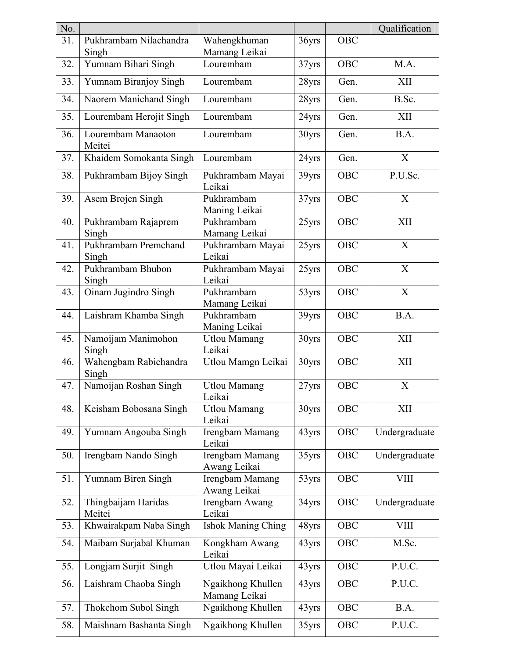| No. |                                 |                                    |       |            | Qualification             |
|-----|---------------------------------|------------------------------------|-------|------------|---------------------------|
| 31. | Pukhrambam Nilachandra<br>Singh | Wahengkhuman<br>Mamang Leikai      | 36yrs | <b>OBC</b> |                           |
| 32. | Yumnam Bihari Singh             | Lourembam                          | 37yrs | <b>OBC</b> | M.A.                      |
| 33. | Yumnam Biranjoy Singh           | Lourembam                          | 28yrs | Gen.       | XII                       |
| 34. | Naorem Manichand Singh          | Lourembam                          | 28yrs | Gen.       | B.Sc.                     |
| 35. | Lourembam Herojit Singh         | Lourembam                          | 24yrs | Gen.       | XII                       |
| 36. | Lourembam Manaoton<br>Meitei    | Lourembam                          | 30yrs | Gen.       | B.A.                      |
| 37. | Khaidem Somokanta Singh         | Lourembam                          | 24yrs | Gen.       | X                         |
| 38. | Pukhrambam Bijoy Singh          | Pukhrambam Mayai<br>Leikai         | 39yrs | OBC        | P.U.Sc.                   |
| 39. | Asem Brojen Singh               | Pukhrambam<br>Maning Leikai        | 37yrs | <b>OBC</b> | X                         |
| 40. | Pukhrambam Rajaprem<br>Singh    | Pukhrambam<br>Mamang Leikai        | 25yrs | OBC        | XII                       |
| 41. | Pukhrambam Premchand<br>Singh   | Pukhrambam Mayai<br>Leikai         | 25yrs | OBC        | X                         |
| 42. | Pukhrambam Bhubon<br>Singh      | Pukhrambam Mayai<br>Leikai         | 25yrs | <b>OBC</b> | $\boldsymbol{\mathrm{X}}$ |
| 43. | Oinam Jugindro Singh            | Pukhrambam<br>Mamang Leikai        | 53yrs | OBC        | X                         |
| 44. | Laishram Khamba Singh           | Pukhrambam<br>Maning Leikai        | 39yrs | <b>OBC</b> | B.A.                      |
| 45. | Namoijam Manimohon<br>Singh     | <b>Utlou Mamang</b><br>Leikai      | 30yrs | OBC        | XII                       |
| 46. | Wahengbam Rabichandra<br>Singh  | Utlou Mamgn Leikai                 | 30yrs | OBC        | <b>XII</b>                |
| 47. | Namoijan Roshan Singh           | <b>Utlou Mamang</b><br>Leikai      | 27yrs | <b>OBC</b> | $\boldsymbol{X}$          |
| 48. | Keisham Bobosana Singh          | <b>Utlou Mamang</b><br>Leikai      | 30yrs | OBC        | XII                       |
| 49. | Yumnam Angouba Singh            | Irengbam Mamang<br>Leikai          | 43yrs | <b>OBC</b> | Undergraduate             |
| 50. | Irengbam Nando Singh            | Irengbam Mamang<br>Awang Leikai    | 35yrs | <b>OBC</b> | Undergraduate             |
| 51. | Yumnam Biren Singh              | Irengbam Mamang<br>Awang Leikai    | 53yrs | <b>OBC</b> | <b>VIII</b>               |
| 52. | Thingbaijam Haridas<br>Meitei   | Irengbam Awang<br>Leikai           | 34yrs | OBC        | Undergraduate             |
| 53. | Khwairakpam Naba Singh          | <b>Ishok Maning Ching</b>          | 48yrs | OBC        | <b>VIII</b>               |
| 54. | Maibam Surjabal Khuman          | Kongkham Awang<br>Leikai           | 43yrs | OBC        | M.Sc.                     |
| 55. | Longjam Surjit Singh            | Utlou Mayai Leikai                 | 43yrs | OBC        | P.U.C.                    |
| 56. | Laishram Chaoba Singh           | Ngaikhong Khullen<br>Mamang Leikai | 43yrs | <b>OBC</b> | P.U.C.                    |
| 57. | Thokchom Subol Singh            | Ngaikhong Khullen                  | 43yrs | OBC        | B.A.                      |
| 58. | Maishnam Bashanta Singh         | Ngaikhong Khullen                  | 35yrs | OBC        | P.U.C.                    |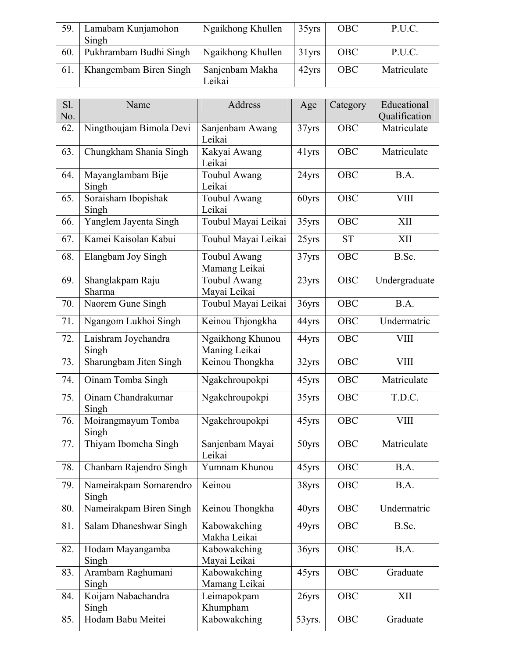| 59. | Lamabam Kunjamohon<br>Singh | Ngaikhong Khullen         | 35yrs    | <b>OBC</b> | P.U.C.      |
|-----|-----------------------------|---------------------------|----------|------------|-------------|
| 60. | Pukhrambam Budhi Singh      | Ngaikhong Khullen         | $31$ yrs | <b>OBC</b> | P.U.C.      |
| 61. | Khangembam Biren Singh      | Sanjenbam Makha<br>Leikai | 42yrs    | <b>OBC</b> | Matriculate |

| Sl. | Name                            | Address                              | Age    | Category   | Educational   |
|-----|---------------------------------|--------------------------------------|--------|------------|---------------|
| No. |                                 |                                      |        |            | Qualification |
| 62. | Ningthoujam Bimola Devi         | Sanjenbam Awang<br>Leikai            | 37yrs  | <b>OBC</b> | Matriculate   |
| 63. | Chungkham Shania Singh          | Kakyai Awang<br>Leikai               | 41yrs  | OBC        | Matriculate   |
| 64. | Mayanglambam Bije<br>Singh      | <b>Toubul Awang</b><br>Leikai        | 24yrs  | OBC        | B.A.          |
| 65. | Soraisham Ibopishak<br>Singh    | <b>Toubul Awang</b><br>Leikai        | 60yrs  | OBC        | <b>VIII</b>   |
| 66. | Yanglem Jayenta Singh           | Toubul Mayai Leikai                  | 35yrs  | <b>OBC</b> | XII           |
| 67. | Kamei Kaisolan Kabui            | Toubul Mayai Leikai                  | 25yrs  | <b>ST</b>  | XII           |
| 68. | Elangbam Joy Singh              | <b>Toubul Awang</b><br>Mamang Leikai | 37yrs  | <b>OBC</b> | B.Sc.         |
| 69. | Shanglakpam Raju<br>Sharma      | Toubul Awang<br>Mayai Leikai         | 23yrs  | <b>OBC</b> | Undergraduate |
| 70. | Naorem Gune Singh               | Toubul Mayai Leikai                  | 36yrs  | <b>OBC</b> | B.A.          |
| 71. | Ngangom Lukhoi Singh            | Keinou Thjongkha                     | 44yrs  | OBC        | Undermatric   |
| 72. | Laishram Joychandra<br>Singh    | Ngaikhong Khunou<br>Maning Leikai    | 44yrs  | OBC        | <b>VIII</b>   |
| 73. | Sharungbam Jiten Singh          | Keinou Thongkha                      | 32yrs  | OBC        | <b>VIII</b>   |
| 74. | Oinam Tomba Singh               | Ngakchroupokpi                       | 45yrs  | OBC        | Matriculate   |
| 75. | Oinam Chandrakumar<br>Singh     | Ngakchroupokpi                       | 35yrs  | OBC        | T.D.C.        |
| 76. | Moirangmayum Tomba<br>Singh     | Ngakchroupokpi                       | 45yrs  | OBC        | <b>VIII</b>   |
| 77. | Thiyam Ibomcha Singh            | Sanjenbam Mayai<br>Leikai            | 50yrs  | OBC        | Matriculate   |
| 78. | Chanbam Rajendro Singh          | Yumnam Khunou                        | 45yrs  | OBC        | B.A.          |
| 79. | Nameirakpam Somarendro<br>Singh | Keinou                               | 38yrs  | OBC        | B.A.          |
| 80. | Nameirakpam Biren Singh         | Keinou Thongkha                      | 40yrs  | OBC        | Undermatric   |
| 81. | Salam Dhaneshwar Singh          | Kabowakching<br>Makha Leikai         | 49yrs  | OBC        | B.Sc.         |
| 82. | Hodam Mayangamba<br>Singh       | Kabowakching<br>Mayai Leikai         | 36yrs  | OBC        | B.A.          |
| 83. | Arambam Raghumani<br>Singh      | Kabowakching<br>Mamang Leikai        | 45yrs  | OBC        | Graduate      |
| 84. | Koijam Nabachandra<br>Singh     | Leimapokpam<br>Khumpham              | 26yrs  | OBC        | XII           |
| 85. | Hodam Babu Meitei               | Kabowakching                         | 53yrs. | OBC        | Graduate      |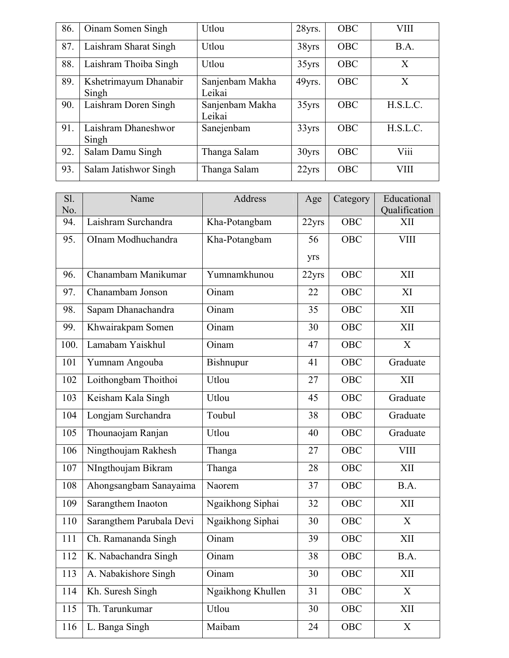| 86. | Oinam Somen Singh              | Utlou                     | 28yrs.            | <b>OBC</b> | VIII        |
|-----|--------------------------------|---------------------------|-------------------|------------|-------------|
| 87. | Laishram Sharat Singh          | Utlou                     | 38yrs             | <b>OBC</b> | B.A.        |
| 88. | Laishram Thoiba Singh          | Utlou                     | 35yrs             | <b>OBC</b> | X           |
| 89. | Kshetrimayum Dhanabir<br>Singh | Sanjenbam Makha<br>Leikai | 49yrs.            | <b>OBC</b> | X           |
| 90. | Laishram Doren Singh           | Sanjenbam Makha<br>Leikai | 35yrs             | <b>OBC</b> | H.S.L.C.    |
| 91. | Laishram Dhaneshwor<br>Singh   | Sanejenbam                | 33yrs             | <b>OBC</b> | H.S.L.C.    |
| 92. | Salam Damu Singh               | Thanga Salam              | 30 <sub>yrs</sub> | <b>OBC</b> | Viii        |
| 93. | Salam Jatishwor Singh          | Thanga Salam              | 22yrs             | <b>OBC</b> | <b>VIII</b> |

| S1.  | Name                     | Address           | Age   | Category   | Educational               |
|------|--------------------------|-------------------|-------|------------|---------------------------|
| No.  |                          |                   |       |            | Qualification             |
| 94.  | Laishram Surchandra      | Kha-Potangbam     | 22yrs | <b>OBC</b> | XII                       |
| 95.  | OInam Modhuchandra       | Kha-Potangbam     | 56    | OBC        | <b>VIII</b>               |
|      |                          |                   | yrs   |            |                           |
| 96.  | Chanambam Manikumar      | Yumnamkhunou      | 22yrs | <b>OBC</b> | XII                       |
| 97.  | Chanambam Jonson         | Oinam             | 22    | OBC        | XI                        |
| 98.  | Sapam Dhanachandra       | Oinam             | 35    | OBC        | XII                       |
| 99.  | Khwairakpam Somen        | Oinam             | 30    | OBC        | XII                       |
| 100. | Lamabam Yaiskhul         | Oinam             | 47    | OBC        | X                         |
| 101  | Yumnam Angouba           | <b>Bishnupur</b>  | 41    | <b>OBC</b> | Graduate                  |
| 102  | Loithongbam Thoithoi     | Utlou             | 27    | OBC        | XII                       |
| 103  | Keisham Kala Singh       | Utlou             | 45    | <b>OBC</b> | Graduate                  |
| 104  | Longjam Surchandra       | Toubul            | 38    | <b>OBC</b> | Graduate                  |
| 105  | Thounaojam Ranjan        | Utlou             | 40    | <b>OBC</b> | Graduate                  |
| 106  | Ningthoujam Rakhesh      | Thanga            | 27    | <b>OBC</b> | <b>VIII</b>               |
| 107  | NIngthoujam Bikram       | Thanga            | 28    | <b>OBC</b> | XII                       |
| 108  | Ahongsangbam Sanayaima   | Naorem            | 37    | OBC        | B.A.                      |
| 109  | Sarangthem Inaoton       | Ngaikhong Siphai  | 32    | <b>OBC</b> | XII                       |
| 110  | Sarangthem Parubala Devi | Ngaikhong Siphai  | 30    | OBC        | $\boldsymbol{\mathrm{X}}$ |
| 111  | Ch. Ramananda Singh      | Oinam             | 39    | <b>OBC</b> | XII                       |
| 112  | K. Nabachandra Singh     | Oinam             | 38    | OBC        | B.A.                      |
| 113  | A. Nabakishore Singh     | Oinam             | 30    | OBC        | XII                       |
| 114  | Kh. Suresh Singh         | Ngaikhong Khullen | 31    | OBC        | $\overline{X}$            |
| 115  | Th. Tarunkumar           | Utlou             | 30    | OBC        | XII                       |
| 116  | L. Banga Singh           | Maibam            | 24    | OBC        | X                         |